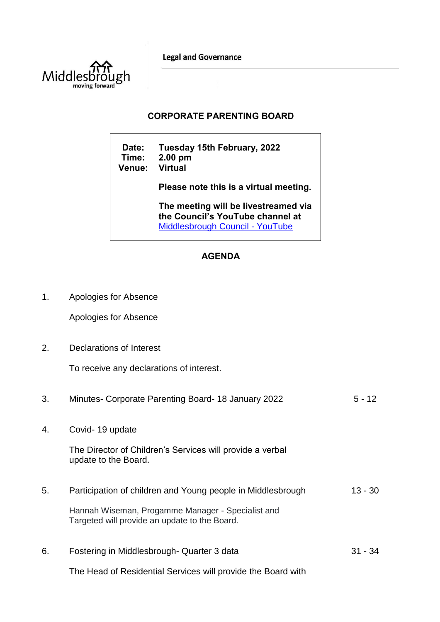**Legal and Governance** 



## **CORPORATE PARENTING BOARD**

**Date: Tuesday 15th February, 2022 Time: 2.00 pm Venue: Please note this is a virtual meeting. The meeting will be livestreamed via the Council's YouTube channel at**  [Middlesbrough Council -](https://www.youtube.com/user/middlesbroughcouncil) YouTube

## **AGENDA**

1. Apologies for Absence

Apologies for Absence

2. Declarations of Interest

To receive any declarations of interest.

| 3. | Minutes- Corporate Parenting Board-18 January 2022                                                 | $5 - 12$  |
|----|----------------------------------------------------------------------------------------------------|-----------|
| 4. | Covid-19 update                                                                                    |           |
|    | The Director of Children's Services will provide a verbal<br>update to the Board.                  |           |
| 5. | Participation of children and Young people in Middlesbrough                                        | $13 - 30$ |
|    | Hannah Wiseman, Progamme Manager - Specialist and<br>Targeted will provide an update to the Board. |           |
| 6. | Fostering in Middlesbrough-Quarter 3 data                                                          | $31 - 34$ |
|    | The Head of Residential Services will provide the Board with                                       |           |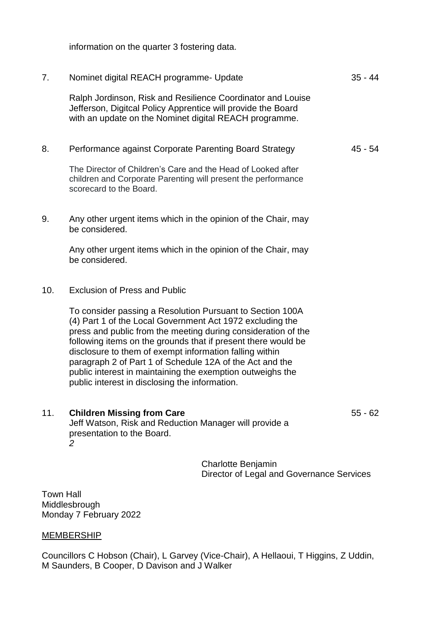information on the quarter 3 fostering data.

| 7.  | Nominet digital REACH programme- Update                                                                                                                                                                                                                                                                                                                                                                                                                                                         |                                                                        | $35 - 44$ |
|-----|-------------------------------------------------------------------------------------------------------------------------------------------------------------------------------------------------------------------------------------------------------------------------------------------------------------------------------------------------------------------------------------------------------------------------------------------------------------------------------------------------|------------------------------------------------------------------------|-----------|
|     | Ralph Jordinson, Risk and Resilience Coordinator and Louise<br>Jefferson, Digitcal Policy Apprentice will provide the Board<br>with an update on the Nominet digital REACH programme.                                                                                                                                                                                                                                                                                                           |                                                                        |           |
| 8.  | Performance against Corporate Parenting Board Strategy                                                                                                                                                                                                                                                                                                                                                                                                                                          |                                                                        | 45 - 54   |
|     | The Director of Children's Care and the Head of Looked after<br>children and Corporate Parenting will present the performance<br>scorecard to the Board.                                                                                                                                                                                                                                                                                                                                        |                                                                        |           |
| 9.  | Any other urgent items which in the opinion of the Chair, may<br>be considered.                                                                                                                                                                                                                                                                                                                                                                                                                 |                                                                        |           |
|     | Any other urgent items which in the opinion of the Chair, may<br>be considered.                                                                                                                                                                                                                                                                                                                                                                                                                 |                                                                        |           |
| 10. | <b>Exclusion of Press and Public</b>                                                                                                                                                                                                                                                                                                                                                                                                                                                            |                                                                        |           |
|     | To consider passing a Resolution Pursuant to Section 100A<br>(4) Part 1 of the Local Government Act 1972 excluding the<br>press and public from the meeting during consideration of the<br>following items on the grounds that if present there would be<br>disclosure to them of exempt information falling within<br>paragraph 2 of Part 1 of Schedule 12A of the Act and the<br>public interest in maintaining the exemption outweighs the<br>public interest in disclosing the information. |                                                                        |           |
| 11. | <b>Children Missing from Care</b><br>Jeff Watson, Risk and Reduction Manager will provide a<br>presentation to the Board.<br>2                                                                                                                                                                                                                                                                                                                                                                  |                                                                        | $55 - 62$ |
|     |                                                                                                                                                                                                                                                                                                                                                                                                                                                                                                 | <b>Charlotte Benjamin</b><br>Director of Legal and Governance Services |           |

Town Hall Middlesbrough Monday 7 February 2022

## **MEMBERSHIP**

Councillors C Hobson (Chair), L Garvey (Vice-Chair), A Hellaoui, T Higgins, Z Uddin, M Saunders, B Cooper, D Davison and J Walker